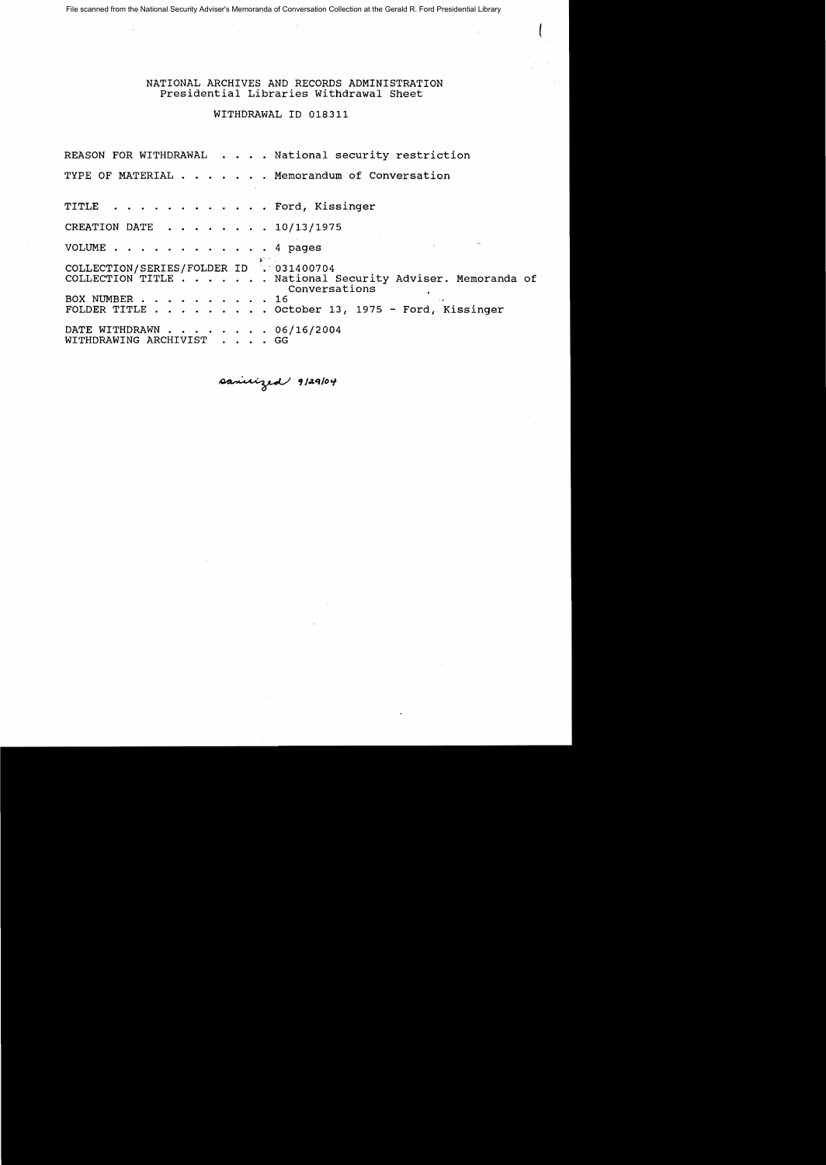File scanned from the National Security Adviser's Memoranda of Conversation Collection at the Gerald R. Ford Presidential Library

NATIONAL ARCHIVES AND RECORDS ADMINISTRATION Presidential Libraries withdrawal Sheet

## WITHDRAWAL ID 018311

REASON FOR WITHDRAWAL . . . . National security restriction TYPE OF MATERIAL . . . . . . Memorandum of Conversation TITLE . . . . . . . . . . . . Ford, Kissinger CREATION DATE  $\cdot \cdot \cdot \cdot \cdot \cdot 10/13/1975$ VOLUME . . . . 4 pages COLLECTION/SERIES/FOLDER ID : 031400704 COLLECTION TITLE . . . . · National Security Adviser. Memoranda of Conversations<br>16 BOX NUMBER . . . . . . . . . . 16<br>FOLDER TITLE . . . . . . . . . October 13, 1975 - Ford, Kissinger DATE WITHDRAWN . . . . . . . . . 06<br>WITHDRAWING ARCHIVIST . . . . GG DATE WITHDRAWN . . . . . . . 06/16/2004

**,J..tq/Dcf**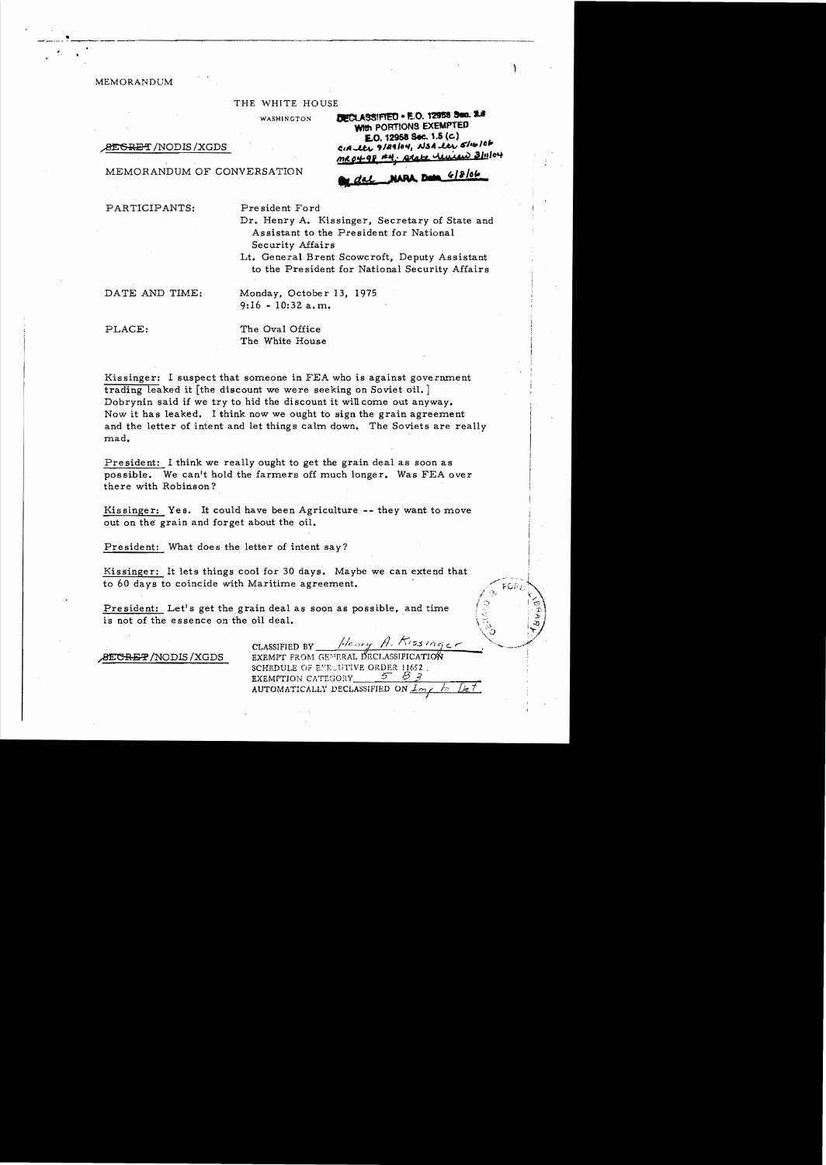MEMORANDUM

-~~.... -~.•--.,.....

#### THE WHITE HOUSE

**WASHINGTON DECLASSIFIED . E.O. 12958 Sec. 1.8** 

 $rac{BESREF/NODIS/XGDS}{R^2}$  **C:ALLLY 9/24/04, NSALLY 6/14/06** 

**m,u:f;;'1; ""i** *M.t'* **1.4"" ..,4> '1..10""**  MEMORANDUM OF CONVERSATION ..tb+ **,NNt.. D# ",a/of,** 

**WIth PORTIONS EXEMPTED LO. 12958 Sec. 1.5 (e)** 

PARTICIPANTS: President Ford

Dr. Henry A. Kissinger, Secretary of State and Assistant to the President for National Security Affairs

Lt. General Brent Scowcroft, Deputy Assistant to the President for National Security Affairs

DATE AND TIME: Monday, October 13, 1975  $9:16 - 10:32$  a.m.

PLACE: The Oval Office The White House

Kissinger: I suspect that someone in FEA who is against government trading leaked it [the discount we were seeking on Soviet oil. ] Dobrynin said if we try to hid the discount it wiUcome out anyway. Now it has leaked. I think now we ought to sign the grain agreement and the letter of intent and let things calm down. The Soviets are really mad.

President: I think we really ought to get the grain deal as soon as possible. We can't hold the farmers off much longer. Was FEA over there with Robinson?

Kissinger: Yes. It could have been Agriculture **--** they want to *move* out on the' grain and forget about the oil.

President: What does the letter of intent say?

Kissinger: It lets things cool for 30 days. Maybe we can extend that to 60 days to coincide with Maritime agreement.

President: Let's get the grain deal as soon as possible, and time is not of the essence on the oil deal.

8EC<del>RET</del>/NODIS/XGDS

Henry A. Kissinger CLASSIFIED BY\_ EXEMPT FROM GENERAL DECLASSIFICATION SCHEDULE OF ENEUTIVE ORDER 11652. EXEMPTION CATEGORY AUTOMATICALLY DECLASSIFIED ON *Imp. b. Det*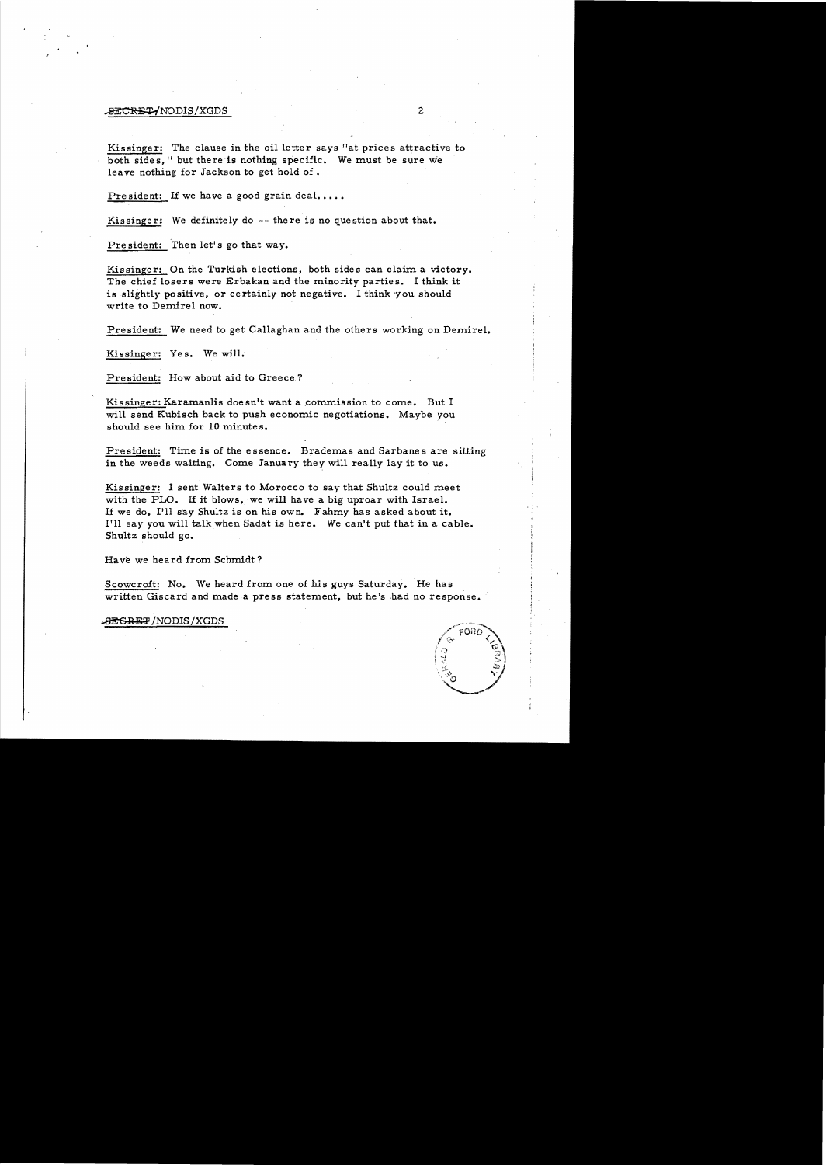# ~NODIS/XGDS 2

Kissinger: The clause in the oil letter says "at prices attractive to both sides." but there is nothing specific. We must be sure we leave nothing for Jackson to get hold of.

President: If we have a good grain deal.....

Kissinger: We definitely do  $-$ - there is no question about that.

President: Then let's go that way.

Kissinger: On the Turkish elections, both sides can claim a victory. The chief losers were Erbakan and the minority parties. I think it is slightly positive, or certainly not negative. I think 'you should write to Demirel now.

President: We need to get Callaghan and the others working on Demirel.

Kissinger: Yes. We will.

President: How about aid to Greece.?

Kissinger: Karamanlis doesn't want a commission to come. But I will send Kubisch back to push economic negotiations. Maybe you should see him for 10 minutes.

President: Time is of the essence. Brademas and Sarbanes are sitting in the weeds waiting. Come January they will really lay it to us.

Kissinger: I sent Walters to Morocco to say that Shultz could meet with the PLO. If it blows, we will have a big uproar with Israel. If we do, I'll say Shultz is on his own. Fahmy has asked about it. I'll say you will talk when Sadat is here. We can't put that in a cable. Shultz should go.

Ha ve we heard from Schmidt?

Scowcroft: No. We heard from one of his guys Saturday. He has written Giscard and made a press statement, but he's had no response.

**ALGRET** / NODIS / XGDS

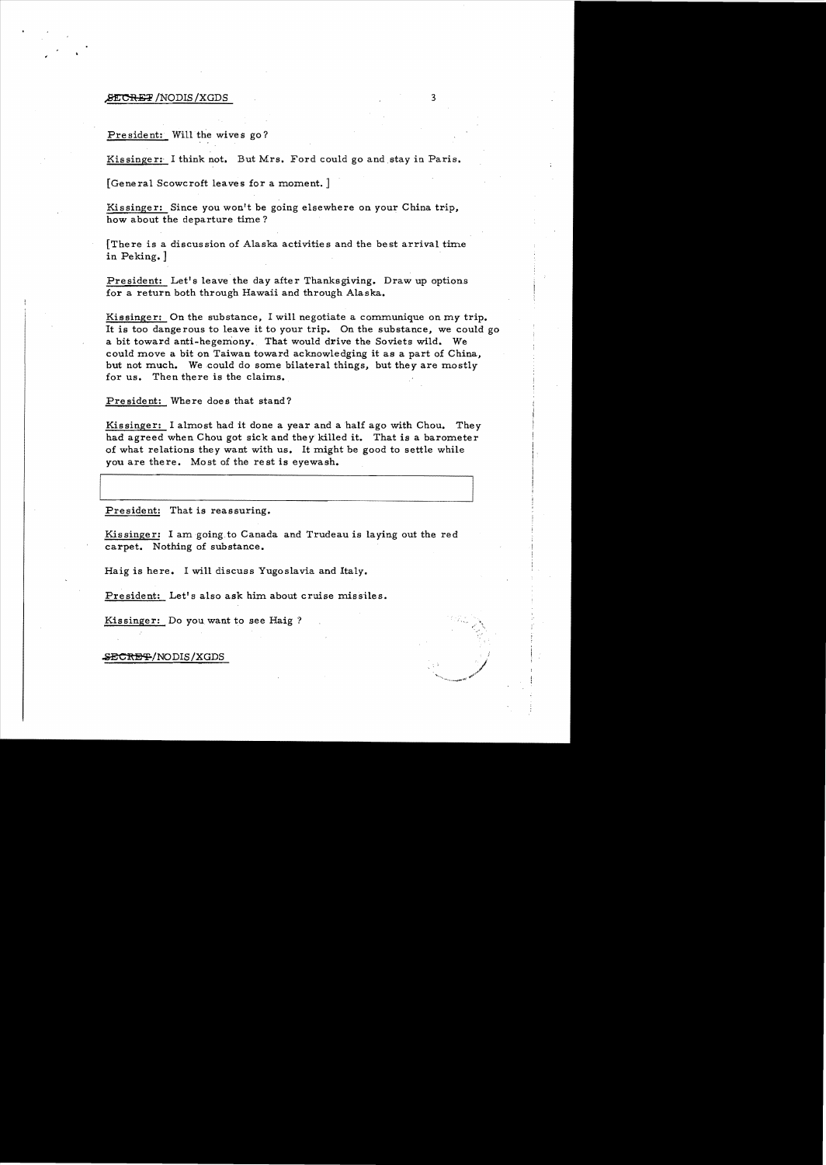#### $\texttt{FTCREF}$  /NODIS /XGDS  $3$

President: Will the wives go?

Kissinger: I think not. But Mrs. Ford could go and stay in Paris.

[General Scowcroft leaves for a moment.]

Kissinger: Since you won't be going elsewhere on your China trip, how about the departure time?

[There is a discussion of Alaska activities and the best arrival time in Peking.]

President: Let's leave the day after Thanksgiving. Draw up options for a return both through Hawaii and through Alaska.

Kissinger: On the substance, I will negotiate a communique on my trip. It is too dangerous to leave it to your trip. On the substance, we could go a bit toward anti-hegemony. That would drive the Soviets wild. We could move a bit on Taiwan toward acknowledging it as a part of China, but not much. We could do some bilateral things, but they are mostly for us. Then there is the claims.

President: Where does that stand?

Kissinger: I almost had it done a year and a half ago with Chou. They had agreed when Chou got sick and they killed it. That is a barometer of what relations they want with us. It might be good to settle while you are there. Most of the rest is eyewash.

President: That is reassuring.

Kissinger: I amgoing.to Canada and Trudeau is laying out the red carpet. Nothing of substance.

Haig is here. I will discuss Yugoslavia and Italy.

President: Let's also ask him about cruise missiles.

Kissinger: Do you want to see Haig ?

**.sEC**1\139?-/NODIS /XGDS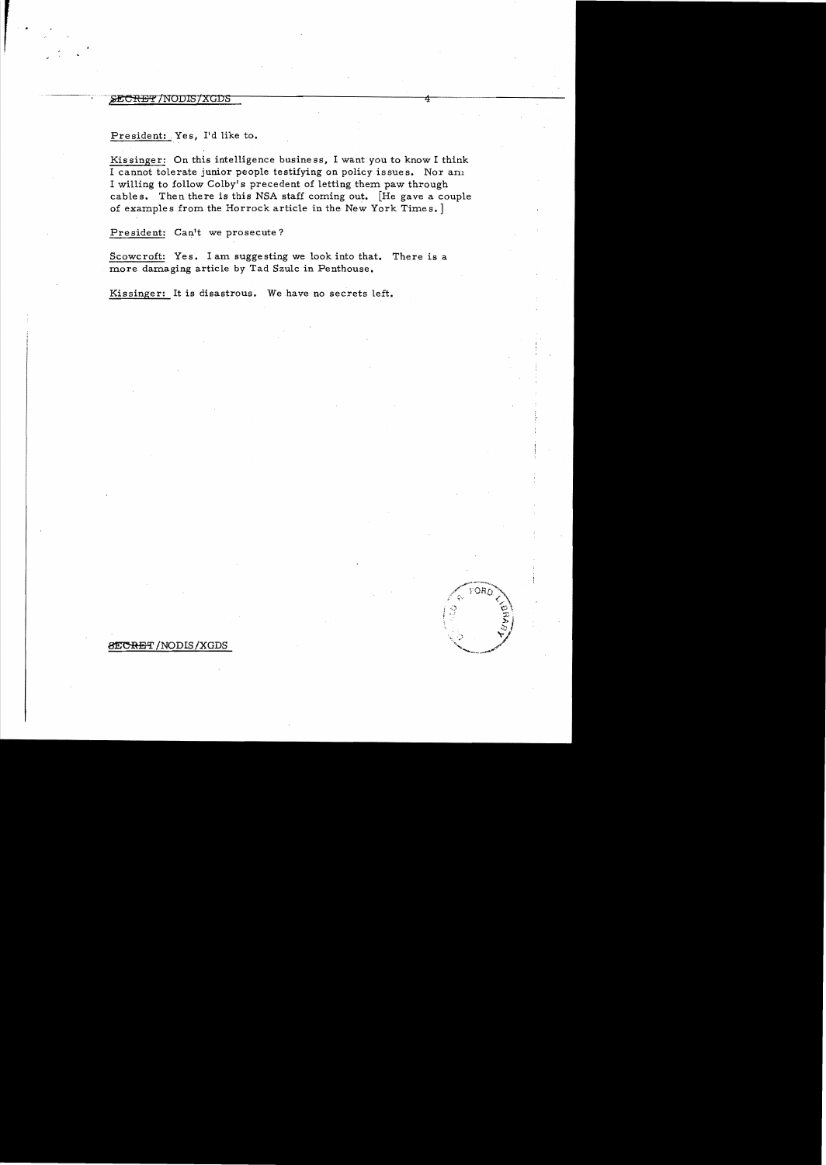# SE<del>CRET</del>/NODIS/XGDS

# President: Yes, I'd like to.

Kissinger: On this intelligence business, I want you to know I think I cannot tolerate junior people testifying on policy issues. Nor am I willing to follow Colby's precedent of letting them paw through cables. Then there is this NSA staff coming out. [He gave a couple of examples from the Horrock article in the New York Times.]

President: Can't we prosecute?

Scowcroft: Yes. I am suggesting we look into that. There is a more damaging article by Tad Szulc in Penthouse.

ើមិនក

Kissinger: It is disastrous. We have no secrets left.

### **SECRET/NODIS/XGDS**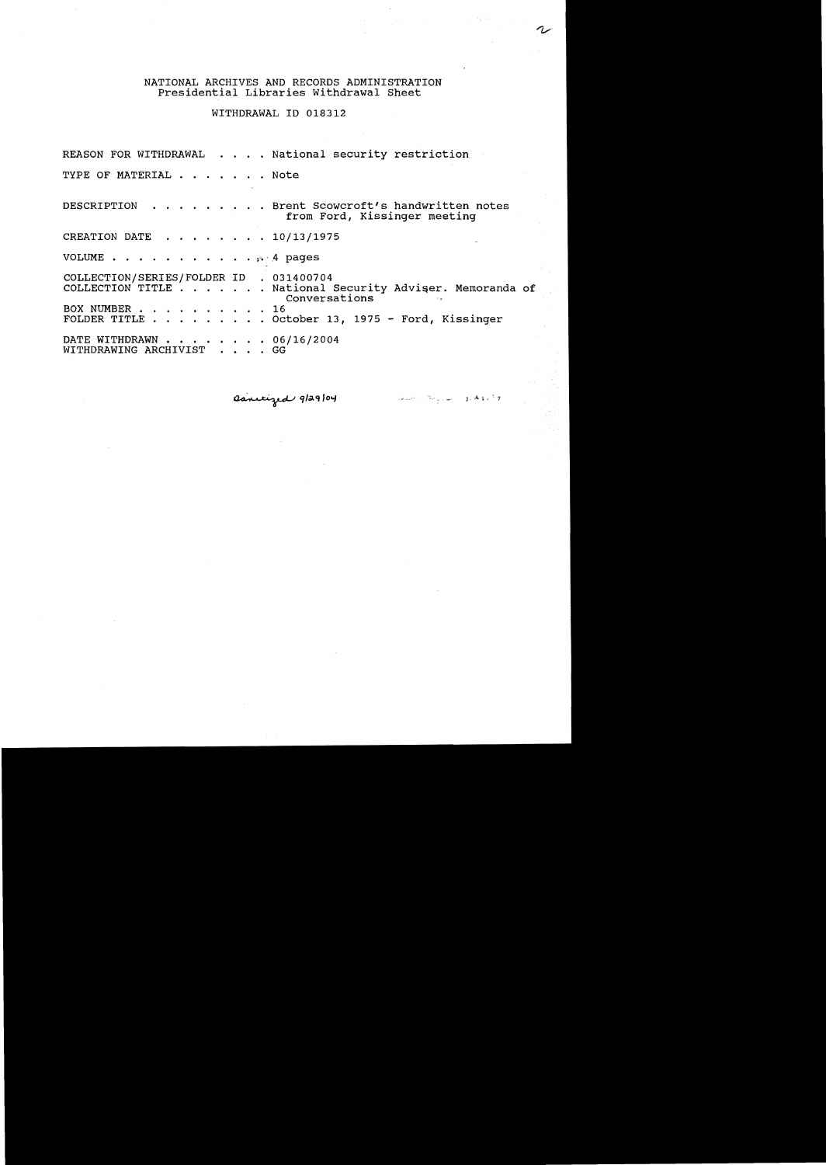#### NATIONAL ARCHIVES AND RECORDS ADMINISTRATION Presidential Libraries withdrawal Sheet

WITHDRAWAL ID 018312

REASON FOR WITHDRAWAL . . . . National security restriction TYPE OF MATERIAL . . . . . . Note DESCRIPTION  $\cdot \cdot \cdot \cdot \cdot \cdot$  Brent Scowcroft's handwritten notes from Ford, Kissinger meeting CREATION DATE  $\cdot \cdot \cdot \cdot \cdot \cdot 10/13/1975$ VOLUME  $\cdots$ ,  $\cdots$ ,  $\cdots$ ,  $\cdots$ ,  $\cdots$ ,  $\cdots$ COLLECTION/SERIES/FOLDER ID . 031400704 COLLECTION TITLE . . . . . . National Security Adviser. Memoranda of Conversations  $\sim$ BOX NUMBER . . . . . . . . . . 16 FOLDER TITLE. . October 13, 1975 - Ford, Kissinger DATE WITHDRAWN . . . . . . . 06/16/2004 WITHDRAWING ARCHIVIST . . . . GG

Ranitized 9/29/04

والأواه فالأموي المستشركة المتحصين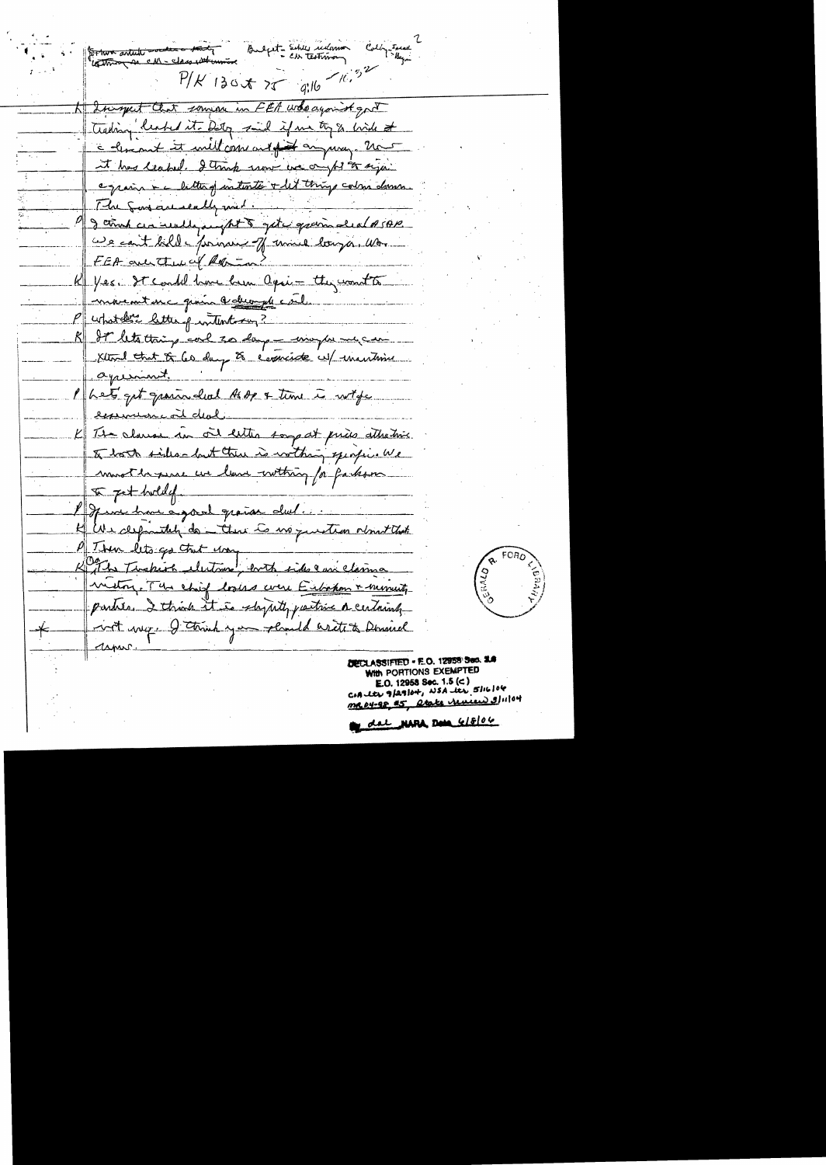Fortwo article socole - the of ext - Schles indome Colby Island  $P/K$  130 x 75 g.16  $16.52$ FEA who against got thomat a trading leaved it. Dety said if we try & birds at colemnet it will come and of anyway. it this leapel. I think more we a equin + c letter of water to things color down. The Sons are really mid I think are really anything of the grain deal of sop. we can't kill - princing of unice longer. We FEA and there of Roo K yes. It could have been again they want to movement une qu'in le demande est P whateler letter p without 2 R It lets thing cal so large winghes Klind that of 60 days to come <u>eyumint</u> Phet get grain hal As de & time equation cail deal. K The clause in oil letter some at price attractive to both sides- but there is within mostle par un luna - withing for farks  $x$  pet hold of June how agreat grain dul We definitely do there is no question object that Then lets go that was The Timbership electrone, both side and with The chief looks were Eibahom & minutes parties. I think it is shywith partire a certainly with way. I think you pland arete to Deninel capas



DECLASSIFIED = E.O. 12958 Sed. 21 WITH PORTIONS EXEMPTED E.O. 12958 Sec. 1.5 (c) COALLY 9/29/04, NSA les 5/16/06 arate remiens 3/11/04 <u>MR 04-98 #5</u>

del NARA Des GISTOU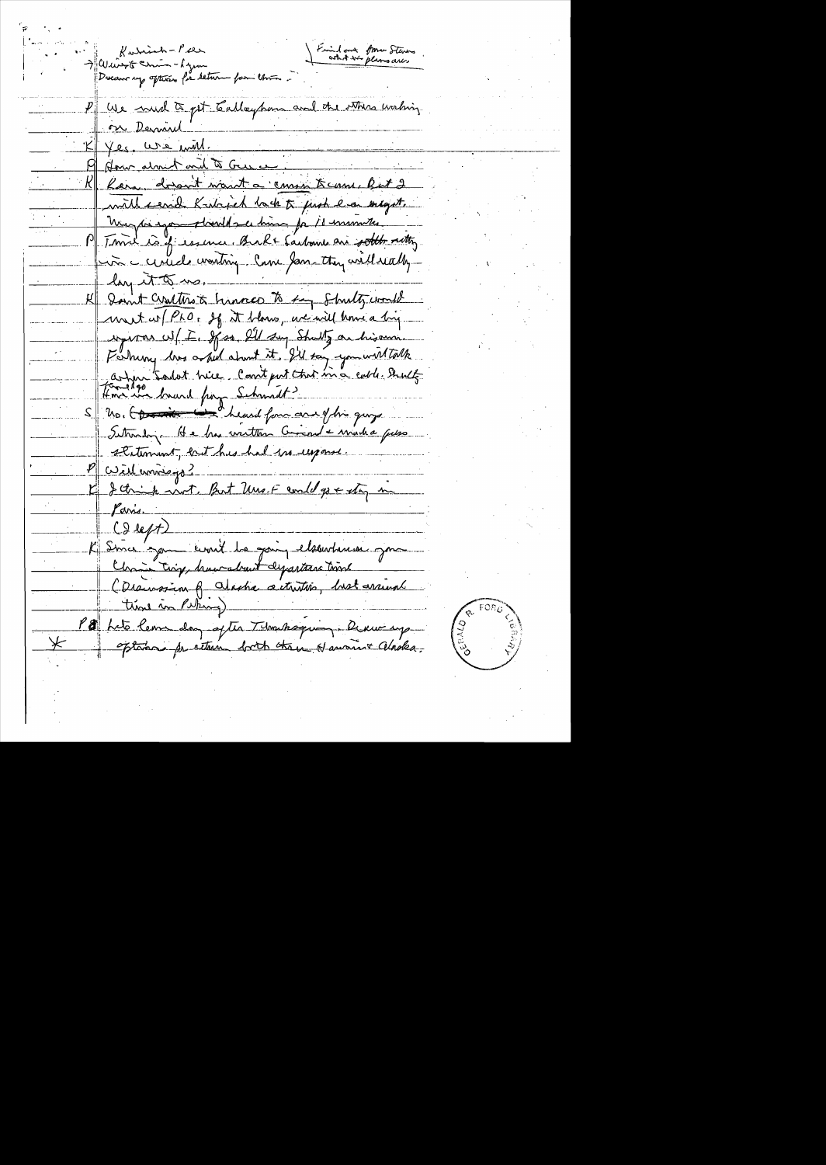Kudrinh - Pier<br>> Wingto Chin - Lynn<br>Decam up opters for tetur for Uni Find out form Steven  $\overline{p}$   $\left|$   $\omega_{\lambda}$  and  $\overline{\alpha}_{pt}$  Calleypon and the others waling <u>n Derni</u> K Yes. We will. How alment and to Gue Reva, dorant want a comment came, But 2 with send Kakisch lack to just has enlagt. murger expose should see him for 11 minutes Time is if essence. Back Sachome are softly retting in curied wasting Came Jam they will wally loy it to us K I sant contro a hinner to fay Shutz would ent w PLO, If it blows, we will know a big uperor w/ E. If so lil suy Shally on hisomn. Forhing los asked about it. I'll say you will talk artin tadot hice. Comt put that in a cable struct. S No. CD in the same heard for an of the guys Saturday. He has written Comment - marka puss statement, but his had in upone <u>cuire universe</u> I think not. But Uns. F could go + stay in faris. CI left) K Since you could be going elsewhere an Ma Jam Lig, haurabant departerne time time in Puking P a Let leur dans after Thomassaquing Derweng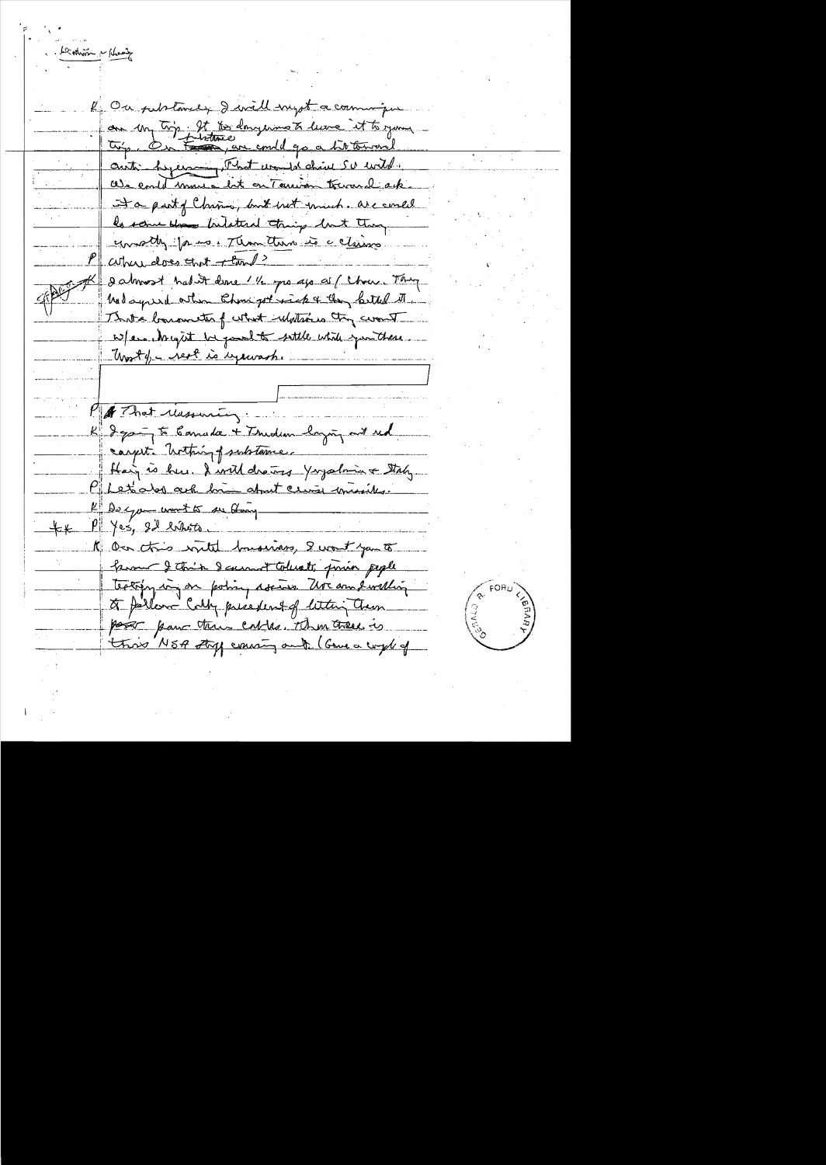Leading - New

R On petrtance, I will negot a commission on my try. It to dangerous to leave it to your autre personne Fhot und derive SU wild. enable mourn late on Terrison tocrowal ack. It a party Charm, but wet much are somed be some does butated tring but they emoth for as Than there is a claims where does that thanks 2 almost had it done 1 1/2 pro ago as ( Chan Thing had syred other than got sick a they better the That elements of what ulations they cont w/em. Arcycit be good to sattle while you there. Worth- rest is expensive Pa That Massuring: K Iga- to Canada + Thurdian login and red carpete bothing psubtame. Hain is hun I will drawns Yours bring & Staty Pilet alors ask him about crime missiles. K Darge wort to see theory  $P \mid \lambda_{es}$  and white 1 On this with husiness, I want you to <u>home I thin I carnot tolusts prin pipel</u> teatrying in policy assiss the an evilling to parler Cally presedent of letter Cham poor par the cables. Then there is this NSA type aning out (Gome a comple of